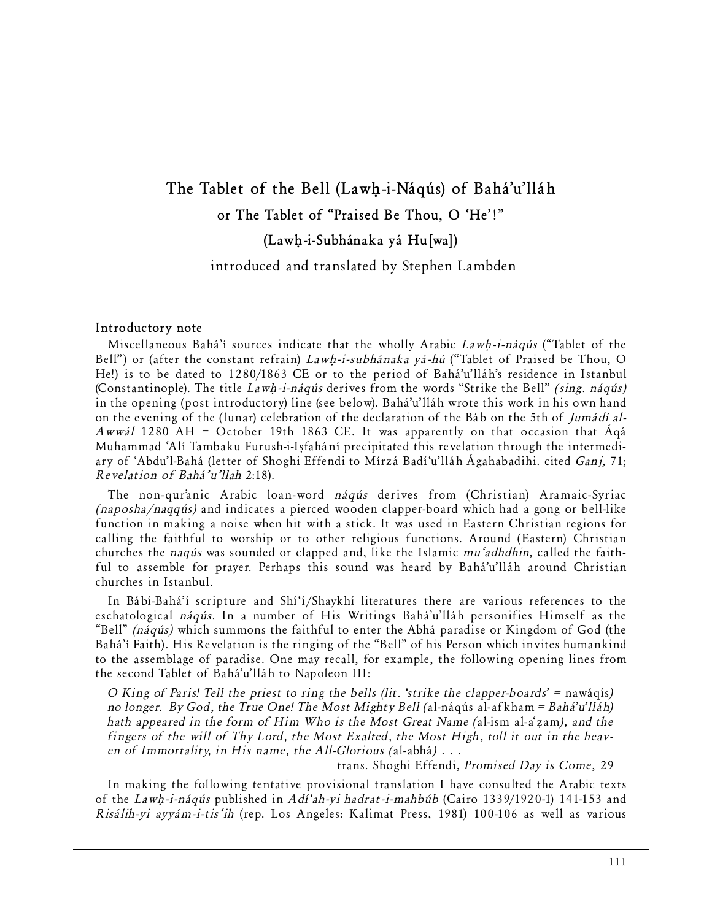# **The Tablet of the Bell (Law˙-i-Náqús) of Bahá'u'lláh or The Tablet of "Praised Be Thou, O 'He'!"**

**(Law˙-i-Subhánaka yá Hu[wa])**

introduced and translated by Stephen Lambden

#### **Introductory note**

Miscellaneous Bahá'í sources indicate that the wholly Arabic Lawh-i-náqús ("Tablet of the Bell") or (after the constant refrain)  $Lawh-i-subhánaka yá-hú ("Tablet of Praised be Thou, O)$ He!) is to be dated to 1280/1863 CE or to the period of Bahá'u'lláh's residence in Istanbul (Constantinople). The title  $Lawh$ -i-náqús derives from the words "Strike the Bell" *(sing. náqús)* in the opening (post introductory) line (see below). Bahá'u'lláh wrote this work in his own hand on the evening of the (lunar) celebration of the declaration of the Báb on the 5th of Jumádí al-Awwál 1280 AH = October 19th 1863 CE. It was apparently on that occasion that  $\hat{A}q\hat{a}$ Muhammad 'Alí Tambaku Furush-i-Ißfahání precipitated this revelation through the intermediary of 'Abdu'l-Bahá (letter of Shoghi Effendi to Mírzá Badí'u'lláh Ágahabadihi. cited Ganj, 71; Revelation of Bahá'u'llah 2:18).

The non-qur'anic Arabic loan-word náqús derives from (Christian) Aramaic-Syriac (naposha/naqqús) and indicates a pierced wooden clapper-board which had a gong or bell-like function in making a noise when hit with a stick. It was used in Eastern Christian regions for calling the faithful to worship or to other religious functions. Around (Eastern) Christian churches the naqús was sounded or clapped and, like the Islamic mu'adhdhin, called the faithful to assemble for prayer. Perhaps this sound was heard by Bahá'u'lláh around Christian churches in Istanbul.

In Bábí-Bahá'í scripture and Shí'í/Shaykhí literatures there are various references to the eschatological náqús. In a number of His Writings Bahá'u'lláh personifies Himself as the "Bell" (náqús) which summons the faithful to enter the Abhá paradise or Kingdom of God (the Bahá'í Faith). His Revelation is the ringing of the "Bell" of his Person which invites humankind to the assemblage of paradise. One may recall, for example, the following opening lines from the second Tablet of Bahá'u'lláh to Napoleon III:

*O King of Paris! Tell the priest to ring the bells (lit. 'strike the clapper-boards' = nawáqís) no longer. By God, the True One! The Most Mighty Bell (*al-náqús al-afkham *= Bahá'u'lláh) hath appeared in the form of Him Who is the Most Great Name (al-ism al-a'zam), and the fingers of the will of Thy Lord, the Most Exalted, the Most High, toll it out in the heaven of Immortality, in His name, the All-Glorious (*al-abhá*) . . .*

trans. Shoghi Effendi, *Promised Day is Come*, 29

In making the following tentative provisional translation I have consulted the Arabic texts of the Lawh-i-náqús published in Adí'ah-yi hadrat-i-mahbúb (Cairo 1339/1920-1) 141-153 and Risálih-yi ayyám-i-tis'ih (rep. Los Angeles: Kalimat Press, 1981) 100-106 as well as various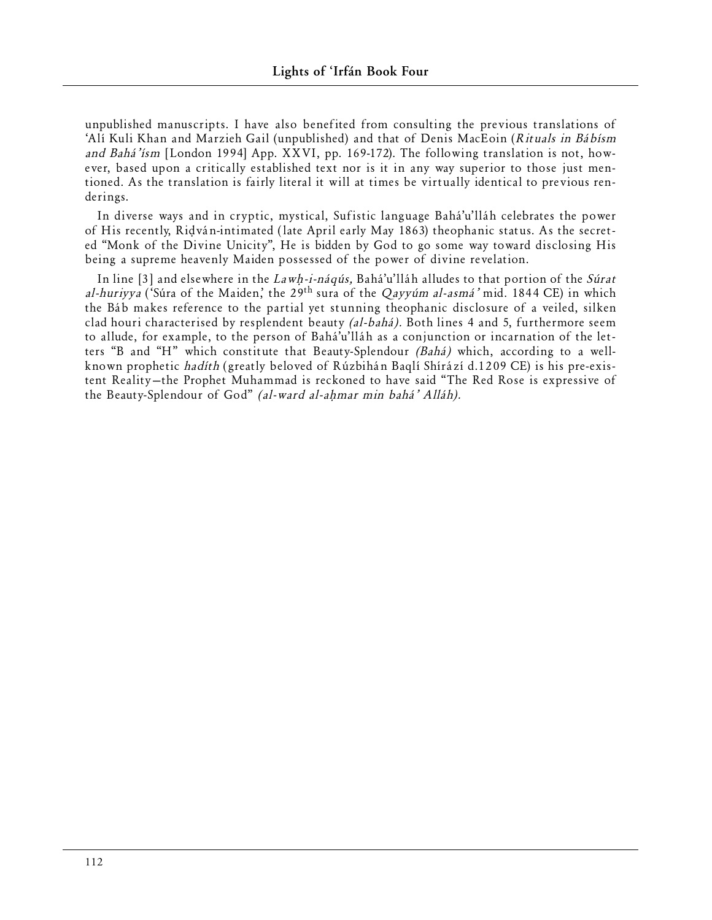unpublished manuscripts. I have also benefited from consulting the previous translations of 'Alí Kuli Khan and Marzieh Gail (unpublished) and that of Denis MacEoin (Rituals in Bábísm and Bahá'ísm [London 1994] App. XXVI, pp. 169-172). The following translation is not, however, based upon a critically established text nor is it in any way superior to those just mentioned. As the translation is fairly literal it will at times be virtually identical to previous renderings.

In diverse ways and in cryptic, mystical, Sufistic language Bahá'u'lláh celebrates the power of His recently, Ri∂ván-intimated ( late April early May 1863) theophanic status. As the secreted "Monk of the Divine Unicity", He is bidden by God to go some way toward disclosing His being a supreme heavenly Maiden possessed of the power of divine revelation.

In line [3] and elsewhere in the  $Lawh$ -i-náqús, Bahá'u'lláh alludes to that portion of the Súrat al-huriyya ('Súra of the Maiden,' the 29<sup>th</sup> sura of the Qayyúm al-asmá' mid. 1844 CE) in which the Báb makes reference to the partial yet stunning theophanic disclosure of a veiled, silken clad houri characterised by resplendent beauty (al-bahá). Both lines 4 and 5, furthermore seem to allude, for example, to the person of Bahá'u'lláh as a conjunction or incarnation of the letters "B and "H" which constitute that Beauty-Splendour (Bahá) which, according to a wellknown prophetic hadíth (greatly beloved of Rúzbihán Baqlí Shírází d.1209 CE) is his pre-existent Reality—the Prophet Muhammad is reckoned to have said "The Red Rose is expressive of the Beauty-Splendour of God" (al-ward al-ahmar min bahá' Alláh).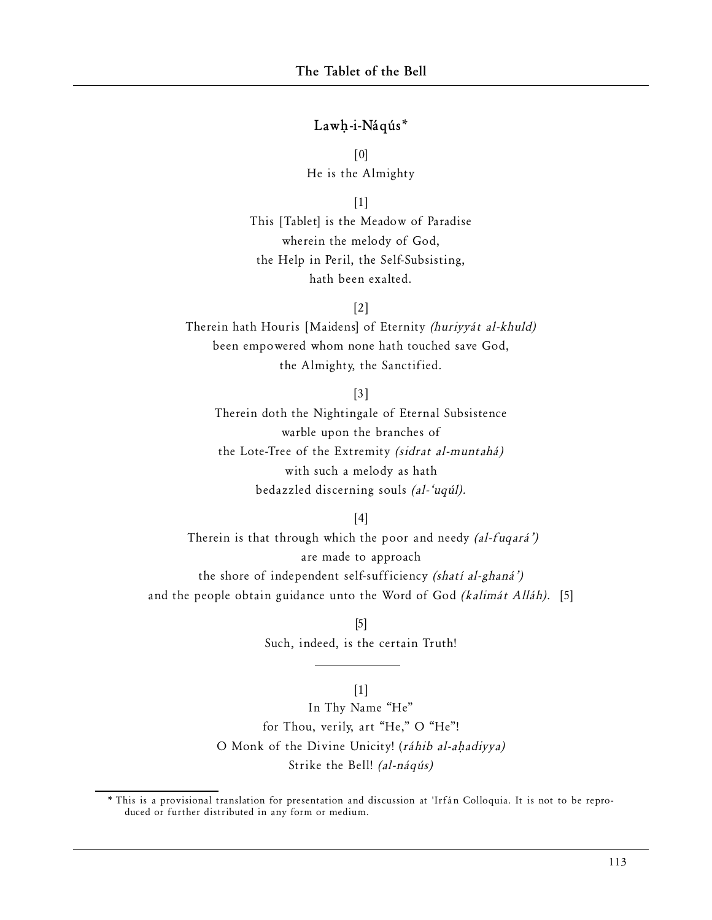## Lawh-i-Náqús\*

[0] He is the Almighty

[1]

This [Tablet] is the Meadow of Paradise wherein the melody of God, the Help in Peril, the Self-Subsisting, hath been exalted.

[2]

Therein hath Houris [Maidens] of Eternity (huriyyát al-khuld) been empowered whom none hath touched save God, the Almighty, the Sanctified.

[3]

Therein doth the Nightingale of Eternal Subsistence warble upon the branches of the Lote-Tree of the Extremity (sidrat al-muntahá) with such a melody as hath bedazzled discerning souls (al-'uqúl).

[4]

Therein is that through which the poor and needy (al-fuqará') are made to approach the shore of independent self-sufficiency (shatí al-ghaná') and the people obtain guidance unto the Word of God (kalimát Alláh). [5]

> [5] Such, indeed, is the certain Truth!

## $[1]$

In Thy Name "He" for Thou, verily, art "He," O "He"! O Monk of the Divine Unicity! (ráhib al-aḥadiyya) Strike the Bell! (al-náqús)

<sup>\*</sup> This is a provisional translation for presentation and discussion at 'Irfán Colloquia. It is not to be reproduced or further distributed in any form or medium.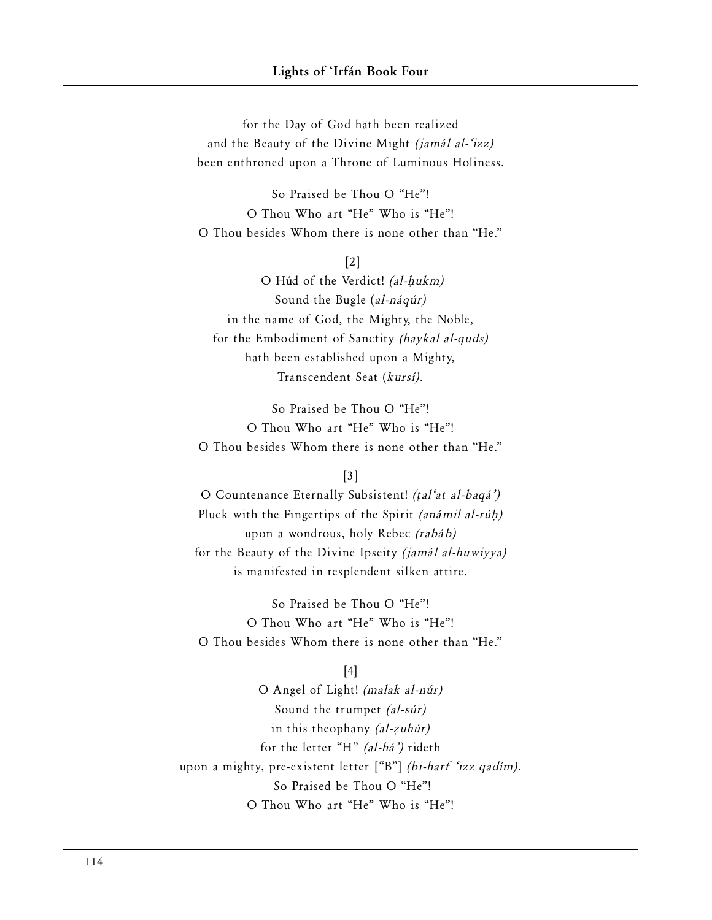for the Day of God hath been realized and the Beauty of the Divine Might (jamál al-'izz) been enthroned upon a Throne of Luminous Holiness.

So Praised be Thou O "He"! O Thou Who art "He" Who is "He"! O Thou besides Whom there is none other than "He."

[2]

O Húd of the Verdict! (al-hukm) Sound the Bugle (al-náqúr) in the name of God, the Mighty, the Noble, for the Embodiment of Sanctity (haykal al-quds) hath been established upon a Mighty, Transcendent Seat (kursí).

So Praised be Thou O "He"! O Thou Who art "He" Who is "He"! O Thou besides Whom there is none other than "He."

[3]

O Countenance Eternally Subsistent! (†al'at al-baqá') Pluck with the Fingertips of the Spirit (anámil al-rúh) upon a wondrous, holy Rebec (rabáb) for the Beauty of the Divine Ipseity (jamál al-huwiyya) is manifested in resplendent silken attire.

So Praised be Thou O "He"! O Thou Who art "He" Who is "He"! O Thou besides Whom there is none other than "He."

[4]

O Angel of Light! (malak al-núr) Sound the trumpet (al-súr) in this theophany (al-zuhúr) for the letter "H" (al-há') rideth upon a mighty, pre-existent letter ["B"] (bi-harf 'izz qadím). So Praised be Thou O "He"! O Thou Who art "He" Who is "He"!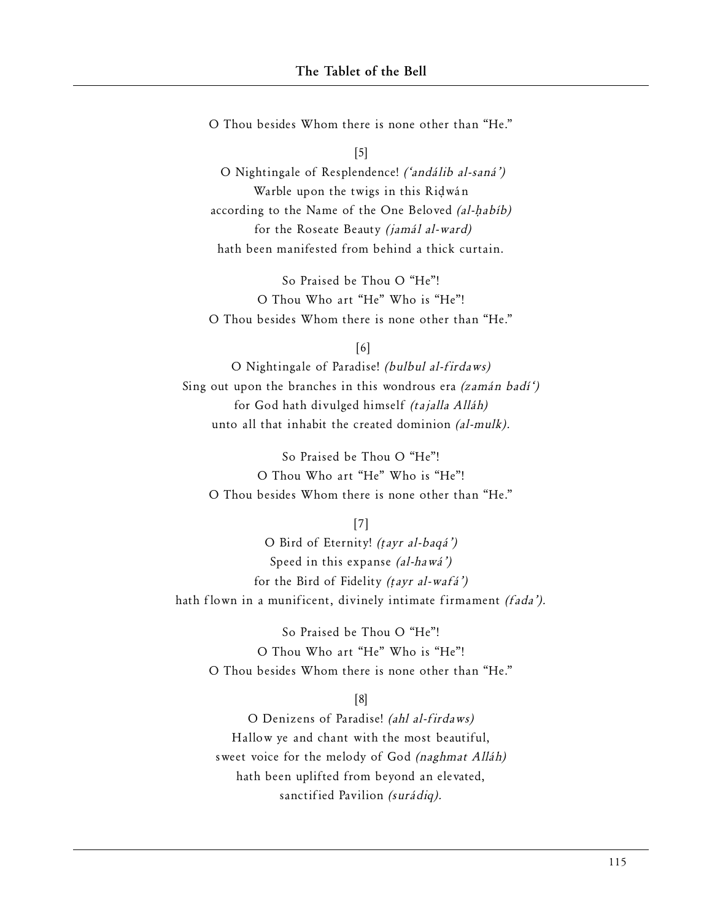O Thou besides Whom there is none other than "He."

[5]

O Nightingale of Resplendence! ('andálib al-saná') Warble upon the twigs in this Ridwán according to the Name of the One Beloved (al-habíb) for the Roseate Beauty (jamál al-ward) hath been manifested from behind a thick curtain.

So Praised be Thou O "He"! O Thou Who art "He" Who is "He"! O Thou besides Whom there is none other than "He."

[6]

O Nightingale of Paradise! (bulbul al-firdaws) Sing out upon the branches in this wondrous era (zamán badí') for God hath divulged himself (tajalla Alláh) unto all that inhabit the created dominion (al-mulk).

So Praised be Thou O "He"! O Thou Who art "He" Who is "He"! O Thou besides Whom there is none other than "He."

[7]

O Bird of Eternity! (†ayr al-baqá') Speed in this expanse (al-hawá') for the Bird of Fidelity (†ayr al-wafá') hath flown in a munificent, divinely intimate firmament (fada').

So Praised be Thou O "He"! O Thou Who art "He" Who is "He"! O Thou besides Whom there is none other than "He."

[8]

O Denizens of Paradise! (ahl al-firdaws) Hallow ye and chant with the most beautiful, sweet voice for the melody of God *(naghmat Alláh)* hath been uplifted from beyond an elevated, sanctified Pavilion (surádiq).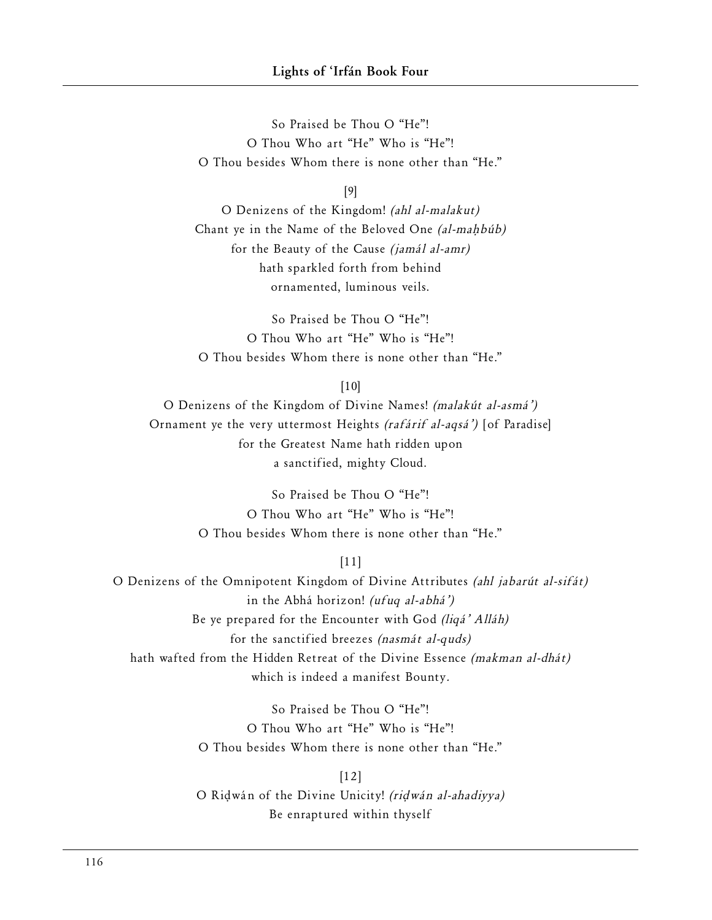So Praised be Thou O "He"! O Thou Who art "He" Who is "He"! O Thou besides Whom there is none other than "He."

[9]

O Denizens of the Kingdom! (ahl al-malakut) Chant ye in the Name of the Beloved One (al-mahbúb) for the Beauty of the Cause (jamál al-amr) hath sparkled forth from behind ornamented, luminous veils.

So Praised be Thou O "He"! O Thou Who art "He" Who is "He"! O Thou besides Whom there is none other than "He."

 $[10]$ 

O Denizens of the Kingdom of Divine Names! (malakút al-asmá') Ornament ye the very uttermost Heights (rafárif al-aqsá') [of Paradise] for the Greatest Name hath ridden upon a sanctified, mighty Cloud.

> So Praised be Thou O "He"! O Thou Who art "He" Who is "He"! O Thou besides Whom there is none other than "He."

> > [11]

O Denizens of the Omnipotent Kingdom of Divine Attributes (ahl jabarút al-sifát) in the Abhá horizon! (ufuq al-abhá') Be ye prepared for the Encounter with God (liqá' Alláh) for the sanctified breezes (nasmát al-quds) hath wafted from the Hidden Retreat of the Divine Essence (makman al-dhát) which is indeed a manifest Bounty.

> So Praised be Thou O "He"! O Thou Who art "He" Who is "He"! O Thou besides Whom there is none other than "He."

[12] O Ri∂wán of the Divine Unicity! (ri∂wán al-ahadiyya) Be enraptured within thyself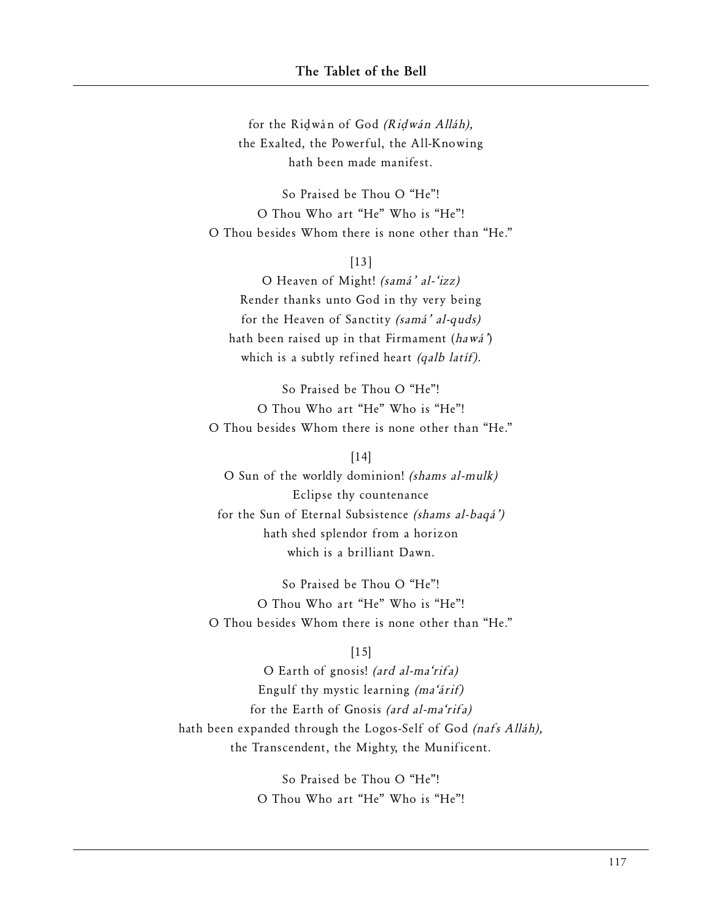for the Ri∂wán of God (Ri∂wán Alláh), the Exalted, the Powerful, the All-Knowing hath been made manifest.

So Praised be Thou O "He"! O Thou Who art "He" Who is "He"! O Thou besides Whom there is none other than "He."

[13]

O Heaven of Might! (samá' al-'izz) Render thanks unto God in thy very being for the Heaven of Sanctity (samá' al-quds) hath been raised up in that Firmament (hawá') which is a subtly refined heart (qalb latif).

So Praised be Thou O "He"! O Thou Who art "He" Who is "He"! O Thou besides Whom there is none other than "He."

[14]

O Sun of the worldly dominion! (shams al-mulk) Eclipse thy countenance for the Sun of Eternal Subsistence (shams al-baqá') hath shed splendor from a horizon which is a brilliant Dawn.

So Praised be Thou O "He"! O Thou Who art "He" Who is "He"! O Thou besides Whom there is none other than "He."

## $[15]$

O Earth of gnosis! (ard al-ma'rifa) Engulf thy mystic learning (ma'árif) for the Earth of Gnosis (ard al-ma'rifa) hath been expanded through the Logos-Self of God (nafs Alláh), the Transcendent, the Mighty, the Munificent.

> So Praised be Thou O "He"! O Thou Who art "He" Who is "He"!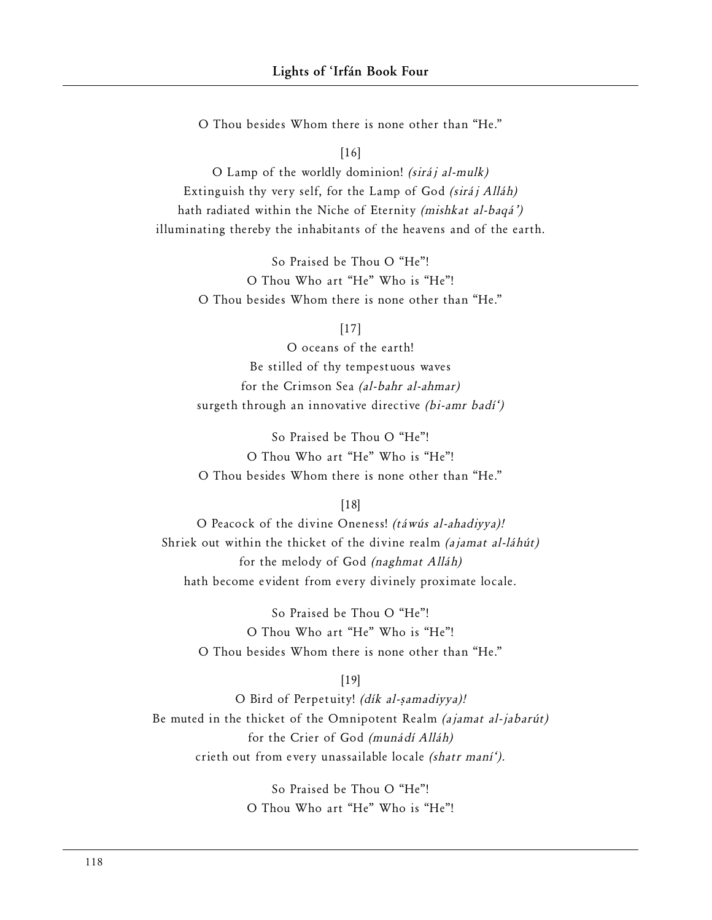O Thou besides Whom there is none other than "He."

#### [16]

O Lamp of the worldly dominion! (siráj al-mulk) Extinguish thy very self, for the Lamp of God (siráj Alláh) hath radiated within the Niche of Eternity (mishkat al-baqá') illuminating thereby the inhabitants of the heavens and of the earth.

> So Praised be Thou O "He"! O Thou Who art "He" Who is "He"! O Thou besides Whom there is none other than "He."

#### [17]

O oceans of the earth! Be stilled of thy tempestuous waves for the Crimson Sea (al-bahr al-ahmar) surgeth through an innovative directive (bi-amr badí')

So Praised be Thou O "He"! O Thou Who art "He" Who is "He"! O Thou besides Whom there is none other than "He."

#### [18]

O Peacock of the divine Oneness! (táwús al-ahadiyya)! Shriek out within the thicket of the divine realm (ajamat al-láhút) for the melody of God (naghmat Alláh) hath become evident from every divinely proximate locale.

So Praised be Thou O "He"! O Thou Who art "He" Who is "He"! O Thou besides Whom there is none other than "He."

#### [19]

O Bird of Perpetuity! (dík al-samadiyya)! Be muted in the thicket of the Omnipotent Realm (ajamat al-jabarút) for the Crier of God (munádí Alláh) crieth out from every unassailable locale (shatr maní').

> So Praised be Thou O "He"! O Thou Who art "He" Who is "He"!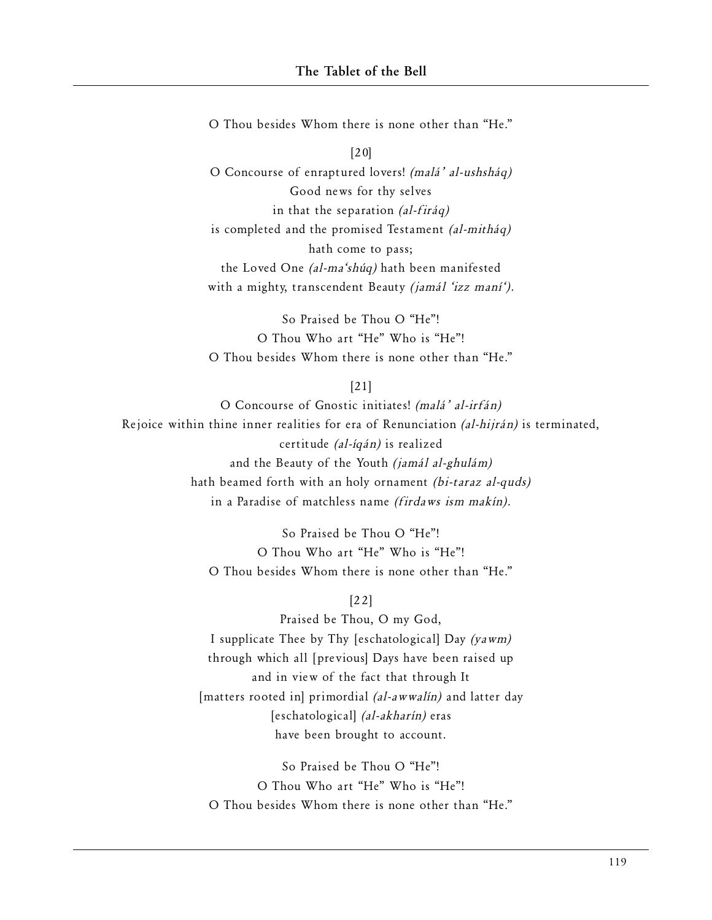O Thou besides Whom there is none other than "He."

[20] O Concourse of enraptured lovers! (malá' al-ushsháq) Good news for thy selves in that the separation (al-firáq) is completed and the promised Testament (al-mitháq) hath come to pass; the Loved One (al-ma'shúq) hath been manifested with a mighty, transcendent Beauty *(jamál 'izz maní')*.

So Praised be Thou O "He"! O Thou Who art "He" Who is "He"! O Thou besides Whom there is none other than "He."

[21]

O Concourse of Gnostic initiates! (malá' al-irfán) Rejoice within thine inner realities for era of Renunciation (al-hijrán) is terminated, certitude (al-íqán) is realized and the Beauty of the Youth (jamál al-ghulám) hath beamed forth with an holy ornament (bi-taraz al-quds) in a Paradise of matchless name (firdaws ism makín).

> So Praised be Thou O "He"! O Thou Who art "He" Who is "He"! O Thou besides Whom there is none other than "He."

> > [22]

Praised be Thou, O my God, I supplicate Thee by Thy [eschatological] Day (yawm) through which all [previous] Days have been raised up and in view of the fact that through It [matters rooted in] primordial (al-awwalin) and latter day [eschatological] (al-akharín) eras have been brought to account.

So Praised be Thou O "He"! O Thou Who art "He" Who is "He"! O Thou besides Whom there is none other than "He."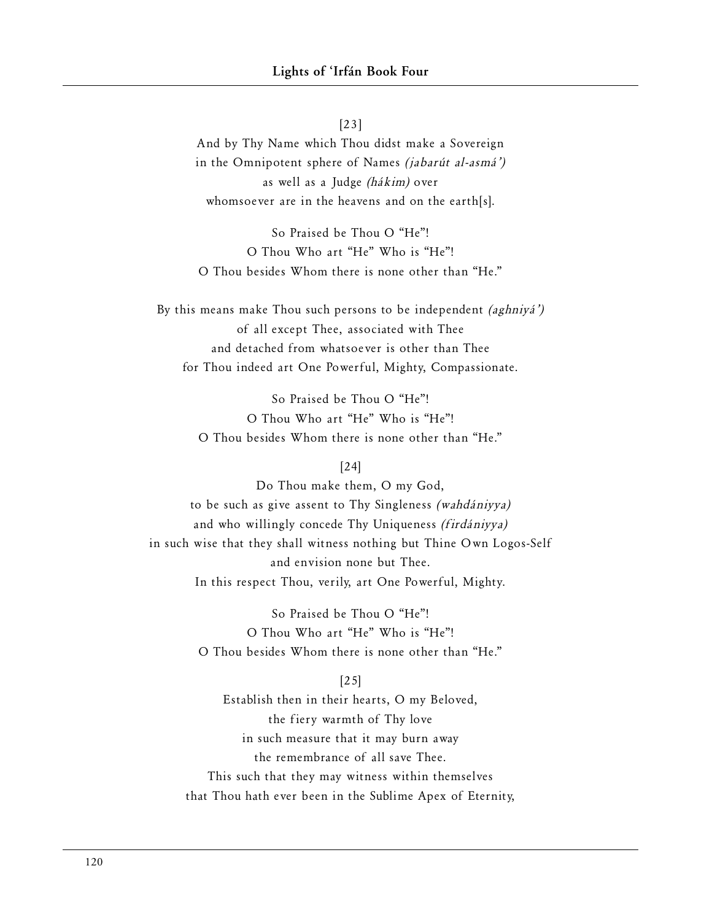[23] And by Thy Name which Thou didst make a Sovereign in the Omnipotent sphere of Names (jabarút al-asmá') as well as a Judge (hákim) over whomsoever are in the heavens and on the earth[s].

So Praised be Thou O "He"! O Thou Who art "He" Who is "He"! O Thou besides Whom there is none other than "He."

By this means make Thou such persons to be independent (aghniyá') of all except Thee, associated with Thee and detached from whatsoever is other than Thee for Thou indeed art One Powerful, Mighty, Compassionate.

> So Praised be Thou O "He"! O Thou Who art "He" Who is "He"! O Thou besides Whom there is none other than "He."

### [24]

Do Thou make them, O my God, to be such as give assent to Thy Singleness (wahdániyya) and who willingly concede Thy Uniqueness (firdániyya) in such wise that they shall witness nothing but Thine Own Logos-Self and envision none but Thee. In this respect Thou, verily, art One Powerful, Mighty.

> So Praised be Thou O "He"! O Thou Who art "He" Who is "He"! O Thou besides Whom there is none other than "He."

#### [25]

Establish then in their hearts, O my Beloved, the fiery warmth of Thy love in such measure that it may burn away the remembrance of all save Thee. This such that they may witness within themselves that Thou hath ever been in the Sublime Apex of Eternity,